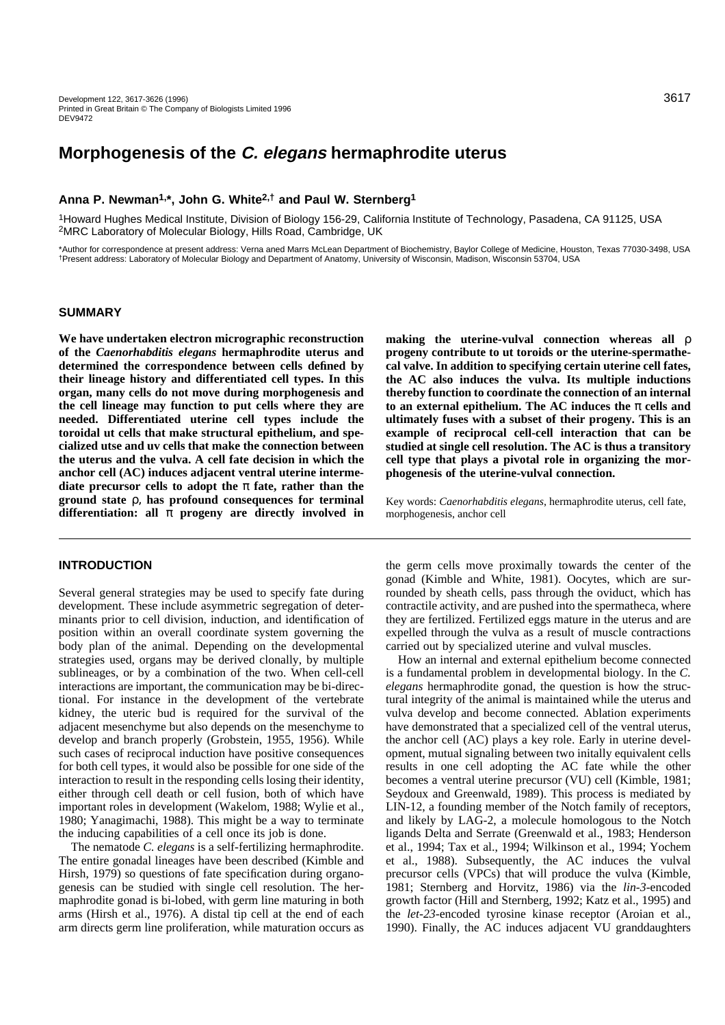# **Morphogenesis of the C. elegans hermaphrodite uterus**

# **Anna P. Newman1,\*, John G. White2,† and Paul W. Sternberg1**

1Howard Hughes Medical Institute, Division of Biology 156-29, California Institute of Technology, Pasadena, CA 91125, USA 2MRC Laboratory of Molecular Biology, Hills Road, Cambridge, UK

\*Author for correspondence at present address: Verna aned Marrs McLean Department of Biochemistry, Baylor College of Medicine, Houston, Texas 77030-3498, USA †Present address: Laboratory of Molecular Biology and Department of Anatomy, University of Wisconsin, Madison, Wisconsin 53704, USA

# **SUMMARY**

**We have undertaken electron micrographic reconstruction of the** *Caenorhabditis elegans* **hermaphrodite uterus and determined the correspondence between cells defined by their lineage history and differentiated cell types. In this organ, many cells do not move during morphogenesis and the cell lineage may function to put cells where they are needed. Differentiated uterine cell types include the toroidal ut cells that make structural epithelium, and specialized utse and uv cells that make the connection between the uterus and the vulva. A cell fate decision in which the anchor cell (AC) induces adjacent ventral uterine intermediate precursor cells to adopt the** π **fate, rather than the ground state** ρ, **has profound consequences for terminal differentiation: all** π **progeny are directly involved in**

**INTRODUCTION**

Several general strategies may be used to specify fate during development. These include asymmetric segregation of determinants prior to cell division, induction, and identification of position within an overall coordinate system governing the body plan of the animal. Depending on the developmental strategies used, organs may be derived clonally, by multiple sublineages, or by a combination of the two. When cell-cell interactions are important, the communication may be bi-directional. For instance in the development of the vertebrate kidney, the uteric bud is required for the survival of the adjacent mesenchyme but also depends on the mesenchyme to develop and branch properly (Grobstein, 1955, 1956). While such cases of reciprocal induction have positive consequences for both cell types, it would also be possible for one side of the interaction to result in the responding cells losing their identity, either through cell death or cell fusion, both of which have important roles in development (Wakelom, 1988; Wylie et al., 1980; Yanagimachi, 1988). This might be a way to terminate the inducing capabilities of a cell once its job is done.

The nematode *C. elegans* is a self-fertilizing hermaphrodite. The entire gonadal lineages have been described (Kimble and Hirsh, 1979) so questions of fate specification during organogenesis can be studied with single cell resolution. The hermaphrodite gonad is bi-lobed, with germ line maturing in both arms (Hirsh et al., 1976). A distal tip cell at the end of each arm directs germ line proliferation, while maturation occurs as **making the uterine-vulval connection whereas all** ρ **progeny contribute to ut toroids or the uterine-spermathecal valve. In addition to specifying certain uterine cell fates, the AC also induces the vulva. Its multiple inductions thereby function to coordinate the connection of an internal to an external epithelium. The AC induces the**  $\pi$  **cells and ultimately fuses with a subset of their progeny. This is an example of reciprocal cell-cell interaction that can be studied at single cell resolution. The AC is thus a transitory cell type that plays a pivotal role in organizing the morphogenesis of the uterine-vulval connection.** 

Key words: *Caenorhabditis elegans*, hermaphrodite uterus, cell fate, morphogenesis, anchor cell

the germ cells move proximally towards the center of the gonad (Kimble and White, 1981). Oocytes, which are surrounded by sheath cells, pass through the oviduct, which has contractile activity, and are pushed into the spermatheca, where they are fertilized. Fertilized eggs mature in the uterus and are expelled through the vulva as a result of muscle contractions carried out by specialized uterine and vulval muscles.

How an internal and external epithelium become connected is a fundamental problem in developmental biology. In the *C. elegans* hermaphrodite gonad, the question is how the structural integrity of the animal is maintained while the uterus and vulva develop and become connected. Ablation experiments have demonstrated that a specialized cell of the ventral uterus, the anchor cell (AC) plays a key role. Early in uterine development, mutual signaling between two initally equivalent cells results in one cell adopting the AC fate while the other becomes a ventral uterine precursor (VU) cell (Kimble, 1981; Seydoux and Greenwald, 1989). This process is mediated by LIN-12, a founding member of the Notch family of receptors, and likely by LAG-2, a molecule homologous to the Notch ligands Delta and Serrate (Greenwald et al., 1983; Henderson et al., 1994; Tax et al., 1994; Wilkinson et al., 1994; Yochem et al., 1988). Subsequently, the AC induces the vulval precursor cells (VPCs) that will produce the vulva (Kimble, 1981; Sternberg and Horvitz, 1986) via the *lin-3-*encoded growth factor (Hill and Sternberg, 1992; Katz et al., 1995) and the *let-23*-encoded tyrosine kinase receptor (Aroian et al., 1990). Finally, the AC induces adjacent VU granddaughters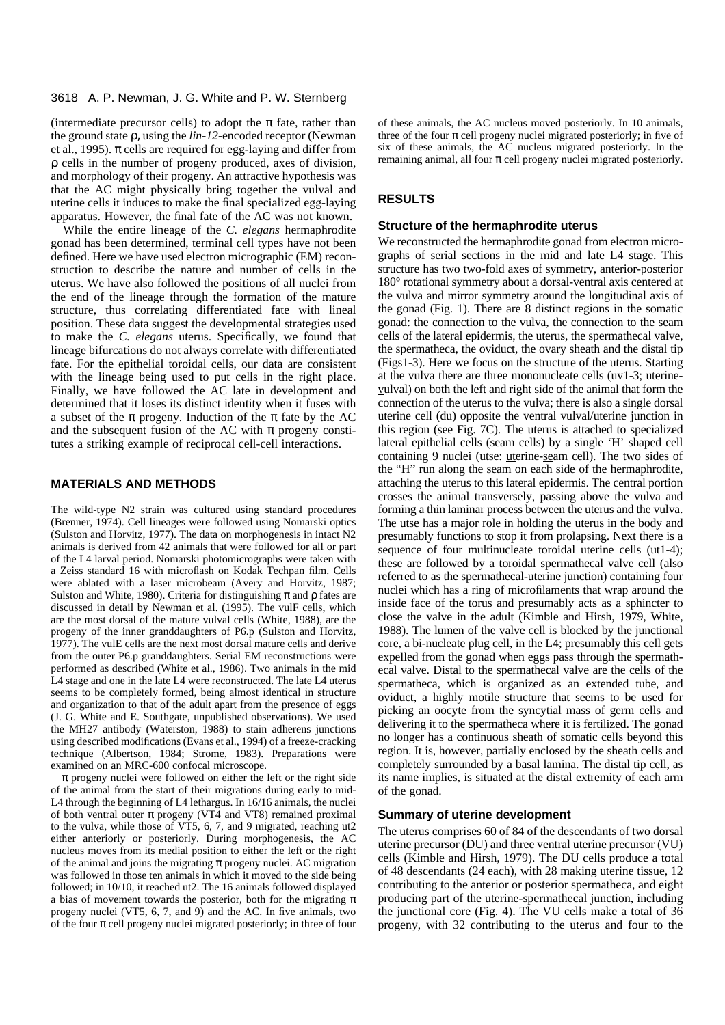(intermediate precursor cells) to adopt the  $\pi$  fate, rather than the ground state ρ, using the *lin-12-*encoded receptor (Newman et al., 1995).  $\pi$  cells are required for egg-laying and differ from ρ cells in the number of progeny produced, axes of division, and morphology of their progeny. An attractive hypothesis was that the AC might physically bring together the vulval and uterine cells it induces to make the final specialized egg-laying apparatus. However, the final fate of the AC was not known.

While the entire lineage of the *C. elegans* hermaphrodite gonad has been determined, terminal cell types have not been defined. Here we have used electron micrographic (EM) reconstruction to describe the nature and number of cells in the uterus. We have also followed the positions of all nuclei from the end of the lineage through the formation of the mature structure, thus correlating differentiated fate with lineal position. These data suggest the developmental strategies used to make the *C. elegans* uterus. Specifically, we found that lineage bifurcations do not always correlate with differentiated fate. For the epithelial toroidal cells, our data are consistent with the lineage being used to put cells in the right place. Finally, we have followed the AC late in development and determined that it loses its distinct identity when it fuses with a subset of the  $\pi$  progeny. Induction of the  $\pi$  fate by the AC and the subsequent fusion of the AC with  $\pi$  progeny constitutes a striking example of reciprocal cell-cell interactions.

#### **MATERIALS AND METHODS**

The wild-type N2 strain was cultured using standard procedures (Brenner, 1974). Cell lineages were followed using Nomarski optics (Sulston and Horvitz, 1977). The data on morphogenesis in intact N2 animals is derived from 42 animals that were followed for all or part of the L4 larval period. Nomarski photomicrographs were taken with a Zeiss standard 16 with microflash on Kodak Techpan film. Cells were ablated with a laser microbeam (Avery and Horvitz, 1987; Sulston and White, 1980). Criteria for distinguishing  $\pi$  and  $\rho$  fates are discussed in detail by Newman et al. (1995). The vulF cells, which are the most dorsal of the mature vulval cells (White, 1988), are the progeny of the inner granddaughters of P6.p (Sulston and Horvitz, 1977). The vulE cells are the next most dorsal mature cells and derive from the outer P6.p granddaughters. Serial EM reconstructions were performed as described (White et al., 1986). Two animals in the mid L4 stage and one in the late L4 were reconstructed. The late L4 uterus seems to be completely formed, being almost identical in structure and organization to that of the adult apart from the presence of eggs (J. G. White and E. Southgate, unpublished observations). We used the MH27 antibody (Waterston, 1988) to stain adherens junctions using described modifications (Evans et al., 1994) of a freeze-cracking technique (Albertson, 1984; Strome, 1983). Preparations were examined on an MRC-600 confocal microscope.

 $\pi$  progeny nuclei were followed on either the left or the right side of the animal from the start of their migrations during early to mid-L4 through the beginning of L4 lethargus. In 16/16 animals, the nuclei of both ventral outer  $\pi$  progeny (VT4 and VT8) remained proximal to the vulva, while those of VT5, 6, 7, and 9 migrated, reaching ut2 either anteriorly or posteriorly. During morphogenesis, the AC nucleus moves from its medial position to either the left or the right of the animal and joins the migrating  $\pi$  progeny nuclei. AC migration was followed in those ten animals in which it moved to the side being followed; in 10/10, it reached ut2. The 16 animals followed displayed a bias of movement towards the posterior, both for the migrating  $\pi$ progeny nuclei (VT5, 6, 7, and 9) and the AC. In five animals, two of the four  $\pi$  cell progeny nuclei migrated posteriorly; in three of four of these animals, the AC nucleus moved posteriorly. In 10 animals, three of the four  $\pi$  cell progeny nuclei migrated posteriorly; in five of six of these animals, the AC nucleus migrated posteriorly. In the remaining animal, all four  $\pi$  cell progeny nuclei migrated posteriorly.

# **RESULTS**

#### **Structure of the hermaphrodite uterus**

We reconstructed the hermaphrodite gonad from electron micrographs of serial sections in the mid and late L4 stage. This structure has two two-fold axes of symmetry, anterior-posterior 180° rotational symmetry about a dorsal-ventral axis centered at the vulva and mirror symmetry around the longitudinal axis of the gonad (Fig. 1). There are 8 distinct regions in the somatic gonad: the connection to the vulva, the connection to the seam cells of the lateral epidermis, the uterus, the spermathecal valve, the spermatheca, the oviduct, the ovary sheath and the distal tip (Figs1-3). Here we focus on the structure of the uterus. Starting at the vulva there are three mononucleate cells (uv1-3; uterinevulval) on both the left and right side of the animal that form the connection of the uterus to the vulva; there is also a single dorsal uterine cell (du) opposite the ventral vulval/uterine junction in this region (see Fig. 7C). The uterus is attached to specialized lateral epithelial cells (seam cells) by a single 'H' shaped cell containing 9 nuclei (utse: uterine-seam cell). The two sides of the "H" run along the seam on each side of the hermaphrodite, attaching the uterus to this lateral epidermis. The central portion crosses the animal transversely, passing above the vulva and forming a thin laminar process between the uterus and the vulva. The utse has a major role in holding the uterus in the body and presumably functions to stop it from prolapsing. Next there is a sequence of four multinucleate toroidal uterine cells (ut1-4); these are followed by a toroidal spermathecal valve cell (also referred to as the spermathecal-uterine junction) containing four nuclei which has a ring of microfilaments that wrap around the inside face of the torus and presumably acts as a sphincter to close the valve in the adult (Kimble and Hirsh, 1979, White, 1988). The lumen of the valve cell is blocked by the junctional core, a bi-nucleate plug cell, in the L4; presumably this cell gets expelled from the gonad when eggs pass through the spermathecal valve. Distal to the spermathecal valve are the cells of the spermatheca, which is organized as an extended tube, and oviduct, a highly motile structure that seems to be used for picking an oocyte from the syncytial mass of germ cells and delivering it to the spermatheca where it is fertilized. The gonad no longer has a continuous sheath of somatic cells beyond this region. It is, however, partially enclosed by the sheath cells and completely surrounded by a basal lamina. The distal tip cell, as its name implies, is situated at the distal extremity of each arm of the gonad.

#### **Summary of uterine development**

The uterus comprises 60 of 84 of the descendants of two dorsal uterine precursor (DU) and three ventral uterine precursor (VU) cells (Kimble and Hirsh, 1979). The DU cells produce a total of 48 descendants (24 each), with 28 making uterine tissue, 12 contributing to the anterior or posterior spermatheca, and eight producing part of the uterine-spermathecal junction, including the junctional core (Fig. 4). The VU cells make a total of 36 progeny, with 32 contributing to the uterus and four to the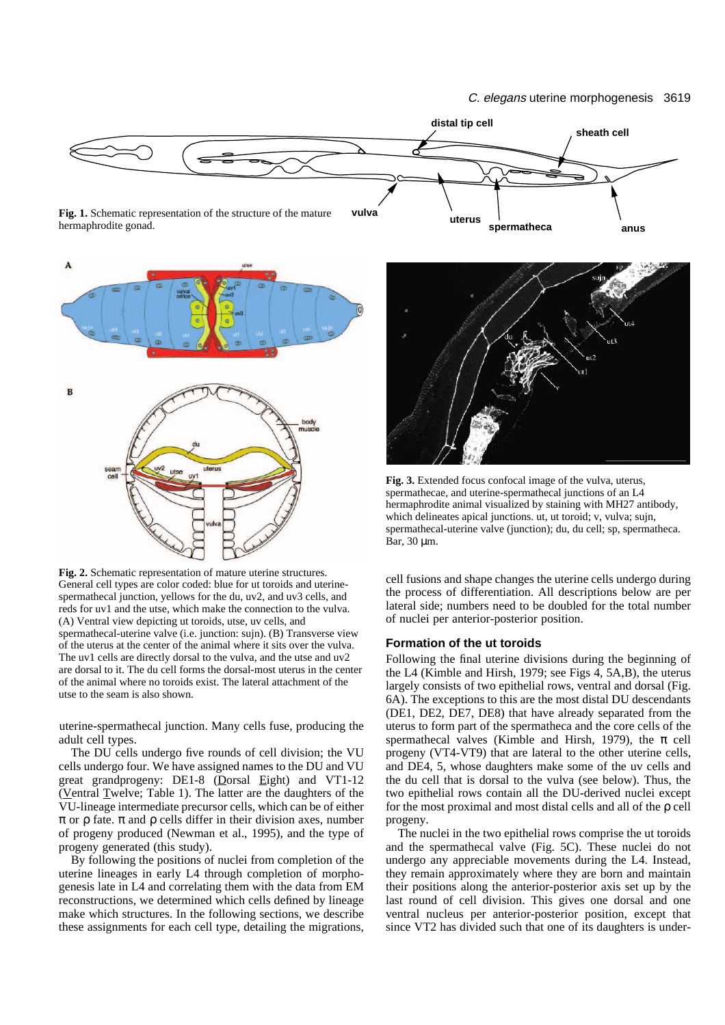



**Fig. 2.** Schematic representation of mature uterine structures. General cell types are color coded: blue for ut toroids and uterinespermathecal junction, yellows for the du, uv2, and uv3 cells, and reds for uv1 and the utse, which make the connection to the vulva. (A) Ventral view depicting ut toroids, utse, uv cells, and spermathecal-uterine valve (i.e. junction: sujn). (B) Transverse view of the uterus at the center of the animal where it sits over the vulva. The uv1 cells are directly dorsal to the vulva, and the utse and uv2 are dorsal to it. The du cell forms the dorsal-most uterus in the center of the animal where no toroids exist. The lateral attachment of the utse to the seam is also shown.

uterine-spermathecal junction. Many cells fuse, producing the adult cell types.

The DU cells undergo five rounds of cell division; the VU cells undergo four. We have assigned names to the DU and VU great grandprogeny: DE1-8 (Dorsal Eight) and VT1-12 (Ventral Twelve; Table 1). The latter are the daughters of the VU-lineage intermediate precursor cells, which can be of either π or ρ fate. π and ρ cells differ in their division axes, number of progeny produced (Newman et al., 1995), and the type of progeny generated (this study).

By following the positions of nuclei from completion of the uterine lineages in early L4 through completion of morphogenesis late in L4 and correlating them with the data from EM reconstructions, we determined which cells defined by lineage make which structures. In the following sections, we describe these assignments for each cell type, detailing the migrations,



**Fig. 3.** Extended focus confocal image of the vulva, uterus, spermathecae, and uterine-spermathecal junctions of an L4 hermaphrodite animal visualized by staining with MH27 antibody, which delineates apical junctions. ut, ut toroid; v, vulva; sujn, spermathecal-uterine valve (junction); du, du cell; sp, spermatheca. Bar, 30 µm.

cell fusions and shape changes the uterine cells undergo during the process of differentiation. All descriptions below are per lateral side; numbers need to be doubled for the total number of nuclei per anterior-posterior position.

# **Formation of the ut toroids**

Following the final uterine divisions during the beginning of the L4 (Kimble and Hirsh, 1979; see Figs 4, 5A,B), the uterus largely consists of two epithelial rows, ventral and dorsal (Fig. 6A). The exceptions to this are the most distal DU descendants (DE1, DE2, DE7, DE8) that have already separated from the uterus to form part of the spermatheca and the core cells of the spermathecal valves (Kimble and Hirsh, 1979), the  $\pi$  cell progeny (VT4-VT9) that are lateral to the other uterine cells, and DE4, 5, whose daughters make some of the uv cells and the du cell that is dorsal to the vulva (see below). Thus, the two epithelial rows contain all the DU-derived nuclei except for the most proximal and most distal cells and all of the ρ cell progeny.

The nuclei in the two epithelial rows comprise the ut toroids and the spermathecal valve (Fig. 5C). These nuclei do not undergo any appreciable movements during the L4. Instead, they remain approximately where they are born and maintain their positions along the anterior-posterior axis set up by the last round of cell division. This gives one dorsal and one ventral nucleus per anterior-posterior position, except that since VT2 has divided such that one of its daughters is under-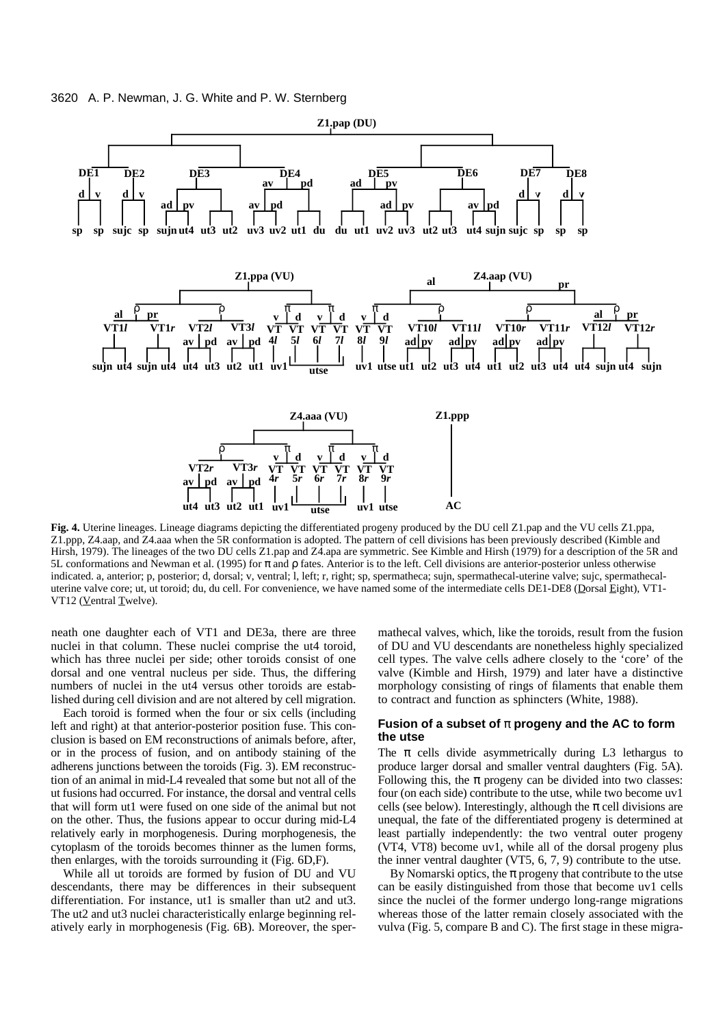

**Fig. 4.** Uterine lineages. Lineage diagrams depicting the differentiated progeny produced by the DU cell Z1.pap and the VU cells Z1.ppa, Z1.ppp, Z4.aap, and Z4.aaa when the 5R conformation is adopted. The pattern of cell divisions has been previously described (Kimble and Hirsh, 1979). The lineages of the two DU cells Z1.pap and Z4.apa are symmetric. See Kimble and Hirsh (1979) for a description of the 5R and 5L conformations and Newman et al. (1995) for π and ρ fates. Anterior is to the left. Cell divisions are anterior-posterior unless otherwise indicated. a, anterior; p, posterior; d, dorsal; v, ventral; l, left; r, right; sp, spermatheca; sujn, spermathecal-uterine valve; sujc, spermathecaluterine valve core; ut, ut toroid; du, du cell. For convenience, we have named some of the intermediate cells DE1-DE8 (Dorsal Eight), VT1- VT12 (Ventral Twelve).

neath one daughter each of VT1 and DE3a, there are three nuclei in that column. These nuclei comprise the ut4 toroid, which has three nuclei per side; other toroids consist of one dorsal and one ventral nucleus per side. Thus, the differing numbers of nuclei in the ut4 versus other toroids are established during cell division and are not altered by cell migration.

Each toroid is formed when the four or six cells (including left and right) at that anterior-posterior position fuse. This conclusion is based on EM reconstructions of animals before, after, or in the process of fusion, and on antibody staining of the adherens junctions between the toroids (Fig. 3). EM reconstruction of an animal in mid-L4 revealed that some but not all of the ut fusions had occurred. For instance, the dorsal and ventral cells that will form ut1 were fused on one side of the animal but not on the other. Thus, the fusions appear to occur during mid-L4 relatively early in morphogenesis. During morphogenesis, the cytoplasm of the toroids becomes thinner as the lumen forms, then enlarges, with the toroids surrounding it (Fig. 6D,F).

While all ut toroids are formed by fusion of DU and VU descendants, there may be differences in their subsequent differentiation. For instance, ut1 is smaller than ut2 and ut3. The ut2 and ut3 nuclei characteristically enlarge beginning relatively early in morphogenesis (Fig. 6B). Moreover, the spermathecal valves, which, like the toroids, result from the fusion of DU and VU descendants are nonetheless highly specialized cell types. The valve cells adhere closely to the 'core' of the valve (Kimble and Hirsh, 1979) and later have a distinctive morphology consisting of rings of filaments that enable them to contract and function as sphincters (White, 1988).

#### **Fusion of a subset of** π **progeny and the AC to form the utse**

The  $\pi$  cells divide asymmetrically during L3 lethargus to produce larger dorsal and smaller ventral daughters (Fig. 5A). Following this, the  $\pi$  progeny can be divided into two classes: four (on each side) contribute to the utse, while two become uv1 cells (see below). Interestingly, although the  $\pi$  cell divisions are unequal, the fate of the differentiated progeny is determined at least partially independently: the two ventral outer progeny (VT4, VT8) become uv1, while all of the dorsal progeny plus the inner ventral daughter (VT5, 6, 7, 9) contribute to the utse.

By Nomarski optics, the  $\pi$  progeny that contribute to the utse can be easily distinguished from those that become uv1 cells since the nuclei of the former undergo long-range migrations whereas those of the latter remain closely associated with the vulva (Fig. 5, compare B and C). The first stage in these migra-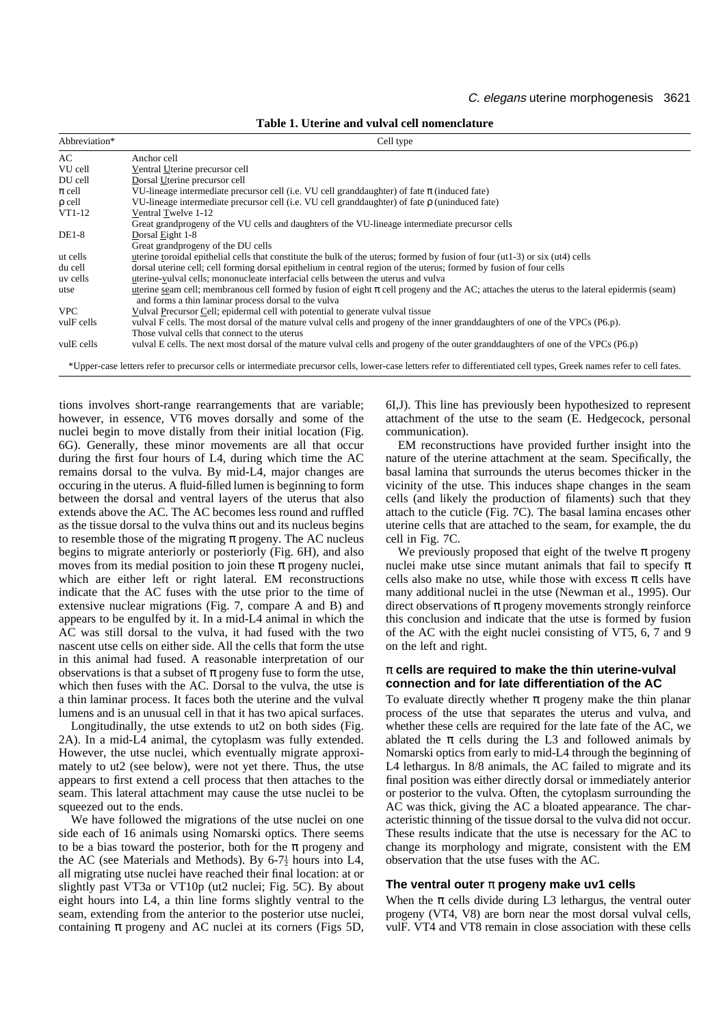|  |  |  |  |  | Table 1. Uterine and vulval cell nomenclature |
|--|--|--|--|--|-----------------------------------------------|
|--|--|--|--|--|-----------------------------------------------|

| Abbreviation* | Cell type                                                                                                                                                                                               |
|---------------|---------------------------------------------------------------------------------------------------------------------------------------------------------------------------------------------------------|
| AC.           | Anchor cell                                                                                                                                                                                             |
| VU cell       | Ventral Uterine precursor cell                                                                                                                                                                          |
| DU cell       | Dorsal Uterine precursor cell                                                                                                                                                                           |
| $\pi$ cell    | VU-lineage intermediate precursor cell (i.e. VU cell granddaughter) of fate $\pi$ (induced fate)                                                                                                        |
| $\rho$ cell   | VU-lineage intermediate precursor cell (i.e. VU cell granddaughter) of fate $\rho$ (uninduced fate)                                                                                                     |
| $VT1-12$      | Ventral Twelve 1-12                                                                                                                                                                                     |
|               | Great grandprogeny of the VU cells and daughters of the VU-lineage intermediate precursor cells                                                                                                         |
| $DE1-8$       | Dorsal Eight 1-8                                                                                                                                                                                        |
|               | Great grandprogeny of the DU cells                                                                                                                                                                      |
| ut cells      | uterine toroidal epithelial cells that constitute the bulk of the uterus; formed by fusion of four (ut1-3) or six (ut4) cells                                                                           |
| du cell       | dorsal uterine cell; cell forming dorsal epithelium in central region of the uterus; formed by fusion of four cells                                                                                     |
| uv cells      | uterine-vulval cells; mononucleate interfacial cells between the uterus and vulva                                                                                                                       |
| utse          | uterine seam cell; membranous cell formed by fusion of eight $\pi$ cell progeny and the AC; attaches the uterus to the lateral epidermis (seam)<br>and forms a thin laminar process dorsal to the vulva |
| <b>VPC</b>    | Vulval Precursor Cell; epidermal cell with potential to generate vulval tissue                                                                                                                          |
| vulF cells    | vulval F cells. The most dorsal of the mature vulval cells and progeny of the inner granddaughters of one of the VPCs (P6.p).                                                                           |
|               | Those vulval cells that connect to the uterus                                                                                                                                                           |
| vulE cells    | vulval E cells. The next most dorsal of the mature vulval cells and progeny of the outer granddaughters of one of the VPCs (P6.p)                                                                       |
|               |                                                                                                                                                                                                         |

\*Upper-case letters refer to precursor cells or intermediate precursor cells, lower-case letters refer to differentiated cell types, Greek names refer to cell fates.

tions involves short-range rearrangements that are variable; however, in essence, VT6 moves dorsally and some of the nuclei begin to move distally from their initial location (Fig. 6G). Generally, these minor movements are all that occur during the first four hours of L4, during which time the AC remains dorsal to the vulva. By mid-L4, major changes are occuring in the uterus. A fluid-filled lumen is beginning to form between the dorsal and ventral layers of the uterus that also extends above the AC. The AC becomes less round and ruffled as the tissue dorsal to the vulva thins out and its nucleus begins to resemble those of the migrating  $\pi$  progeny. The AC nucleus begins to migrate anteriorly or posteriorly (Fig. 6H), and also moves from its medial position to join these  $\pi$  progeny nuclei, which are either left or right lateral. EM reconstructions indicate that the AC fuses with the utse prior to the time of extensive nuclear migrations (Fig. 7, compare A and B) and appears to be engulfed by it. In a mid-L4 animal in which the AC was still dorsal to the vulva, it had fused with the two nascent utse cells on either side. All the cells that form the utse in this animal had fused. A reasonable interpretation of our observations is that a subset of  $\pi$  progeny fuse to form the utse, which then fuses with the AC. Dorsal to the vulva, the utse is a thin laminar process. It faces both the uterine and the vulval lumens and is an unusual cell in that it has two apical surfaces.

Longitudinally, the utse extends to ut2 on both sides (Fig. 2A). In a mid-L4 animal, the cytoplasm was fully extended. However, the utse nuclei, which eventually migrate approximately to ut2 (see below), were not yet there. Thus, the utse appears to first extend a cell process that then attaches to the seam. This lateral attachment may cause the utse nuclei to be squeezed out to the ends.

We have followed the migrations of the utse nuclei on one side each of 16 animals using Nomarski optics. There seems to be a bias toward the posterior, both for the  $\pi$  progeny and the AC (see Materials and Methods). By  $6-7\frac{1}{2}$  hours into L4, all migrating utse nuclei have reached their final location: at or slightly past VT3a or VT10p (ut2 nuclei; Fig. 5C). By about eight hours into L4, a thin line forms slightly ventral to the seam, extending from the anterior to the posterior utse nuclei, containing  $\pi$  progeny and AC nuclei at its corners (Figs 5D, 6I,J). This line has previously been hypothesized to represent attachment of the utse to the seam (E. Hedgecock, personal communication).

EM reconstructions have provided further insight into the nature of the uterine attachment at the seam. Specifically, the basal lamina that surrounds the uterus becomes thicker in the vicinity of the utse. This induces shape changes in the seam cells (and likely the production of filaments) such that they attach to the cuticle (Fig. 7C). The basal lamina encases other uterine cells that are attached to the seam, for example, the du cell in Fig. 7C.

We previously proposed that eight of the twelve  $\pi$  progeny nuclei make utse since mutant animals that fail to specify  $\pi$ cells also make no utse, while those with excess  $\pi$  cells have many additional nuclei in the utse (Newman et al., 1995). Our direct observations of  $\pi$  progeny movements strongly reinforce this conclusion and indicate that the utse is formed by fusion of the AC with the eight nuclei consisting of VT5, 6, 7 and 9 on the left and right.

# π **cells are required to make the thin uterine-vulval connection and for late differentiation of the AC**

To evaluate directly whether  $\pi$  progeny make the thin planar process of the utse that separates the uterus and vulva, and whether these cells are required for the late fate of the AC, we ablated the  $\pi$  cells during the L3 and followed animals by Nomarski optics from early to mid-L4 through the beginning of L4 lethargus. In  $8/8$  animals, the AC failed to migrate and its final position was either directly dorsal or immediately anterior or posterior to the vulva. Often, the cytoplasm surrounding the AC was thick, giving the AC a bloated appearance. The characteristic thinning of the tissue dorsal to the vulva did not occur. These results indicate that the utse is necessary for the AC to change its morphology and migrate, consistent with the EM observation that the utse fuses with the AC.

# **The ventral outer** π **progeny make uv1 cells**

When the  $\pi$  cells divide during L3 lethargus, the ventral outer progeny (VT4, V8) are born near the most dorsal vulval cells, vulF. VT4 and VT8 remain in close association with these cells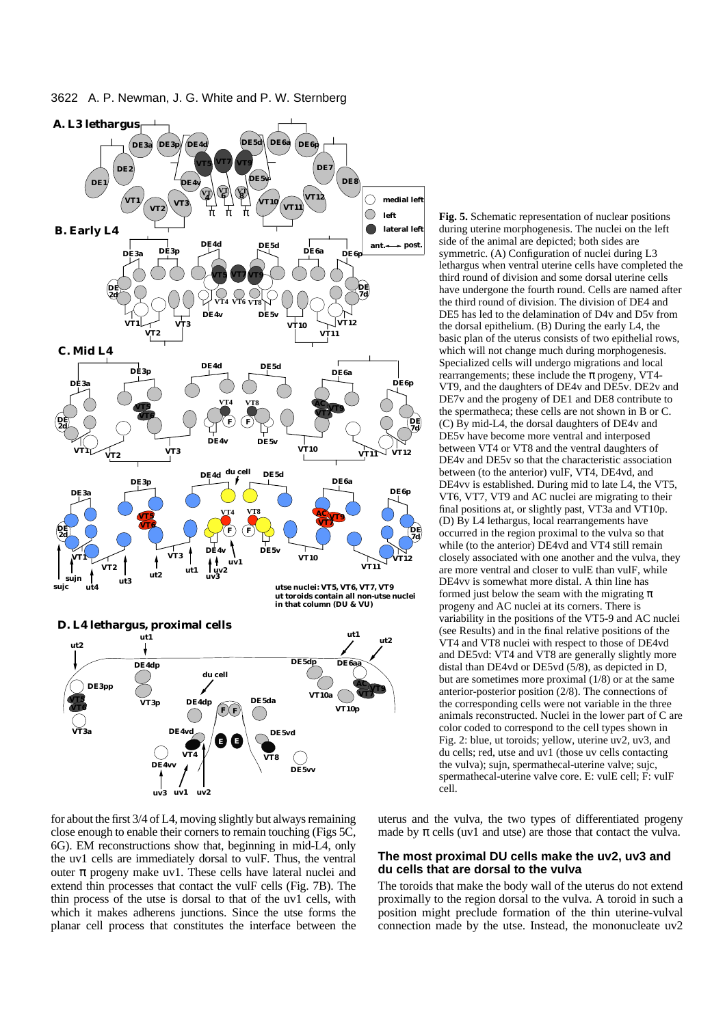

during uterine morphogenesis. The nuclei on the left side of the animal are depicted; both sides are symmetric. (A) Configuration of nuclei during L3 lethargus when ventral uterine cells have completed the third round of division and some dorsal uterine cells have undergone the fourth round. Cells are named after the third round of division. The division of DE4 and DE5 has led to the delamination of D4v and D5v from the dorsal epithelium. (B) During the early L4, the basic plan of the uterus consists of two epithelial rows, which will not change much during morphogenesis. Specialized cells will undergo migrations and local rearrangements; these include the  $\pi$  progeny, VT4-VT9, and the daughters of DE4v and DE5v. DE2v and DE7v and the progeny of DE1 and DE8 contribute to the spermatheca; these cells are not shown in B or C. (C) By mid-L4, the dorsal daughters of DE4v and DE5v have become more ventral and interposed between VT4 or VT8 and the ventral daughters of DE4v and DE5v so that the characteristic association between (to the anterior) vulF, VT4, DE4vd, and DE4vv is established. During mid to late L4, the VT5, VT6, VT7, VT9 and AC nuclei are migrating to their final positions at, or slightly past, VT3a and VT10p. (D) By L4 lethargus, local rearrangements have occurred in the region proximal to the vulva so that while (to the anterior) DE4vd and VT4 still remain closely associated with one another and the vulva, they are more ventral and closer to vulE than vulF, while DE4vv is somewhat more distal. A thin line has formed just below the seam with the migrating  $\pi$ progeny and AC nuclei at its corners. There is variability in the positions of the VT5-9 and AC nuclei (see Results) and in the final relative positions of the VT4 and VT8 nuclei with respect to those of DE4vd and DE5vd: VT4 and VT8 are generally slightly more distal than DE4vd or DE5vd (5/8), as depicted in D, but are sometimes more proximal (1/8) or at the same anterior-posterior position (2/8). The connections of the corresponding cells were not variable in the three animals reconstructed. Nuclei in the lower part of C are color coded to correspond to the cell types shown in Fig. 2: blue, ut toroids; yellow, uterine uv2, uv3, and du cells; red, utse and uv1 (those uv cells contacting the vulva); sujn, spermathecal-uterine valve; sujc, spermathecal-uterine valve core. E: vulE cell; F: vulF cell.

**Fig. 5.** Schematic representation of nuclear positions

for about the first 3/4 of L4, moving slightly but always remaining close enough to enable their corners to remain touching (Figs 5C, 6G). EM reconstructions show that, beginning in mid-L4, only the uv1 cells are immediately dorsal to vulF. Thus, the ventral outer π progeny make uv1. These cells have lateral nuclei and extend thin processes that contact the vulF cells (Fig. 7B). The thin process of the utse is dorsal to that of the uv1 cells, with which it makes adherens junctions. Since the utse forms the planar cell process that constitutes the interface between the uterus and the vulva, the two types of differentiated progeny made by  $\pi$  cells (uv1 and utse) are those that contact the vulva.

### **The most proximal DU cells make the uv2, uv3 and du cells that are dorsal to the vulva**

The toroids that make the body wall of the uterus do not extend proximally to the region dorsal to the vulva. A toroid in such a position might preclude formation of the thin uterine-vulval connection made by the utse. Instead, the mononucleate uv2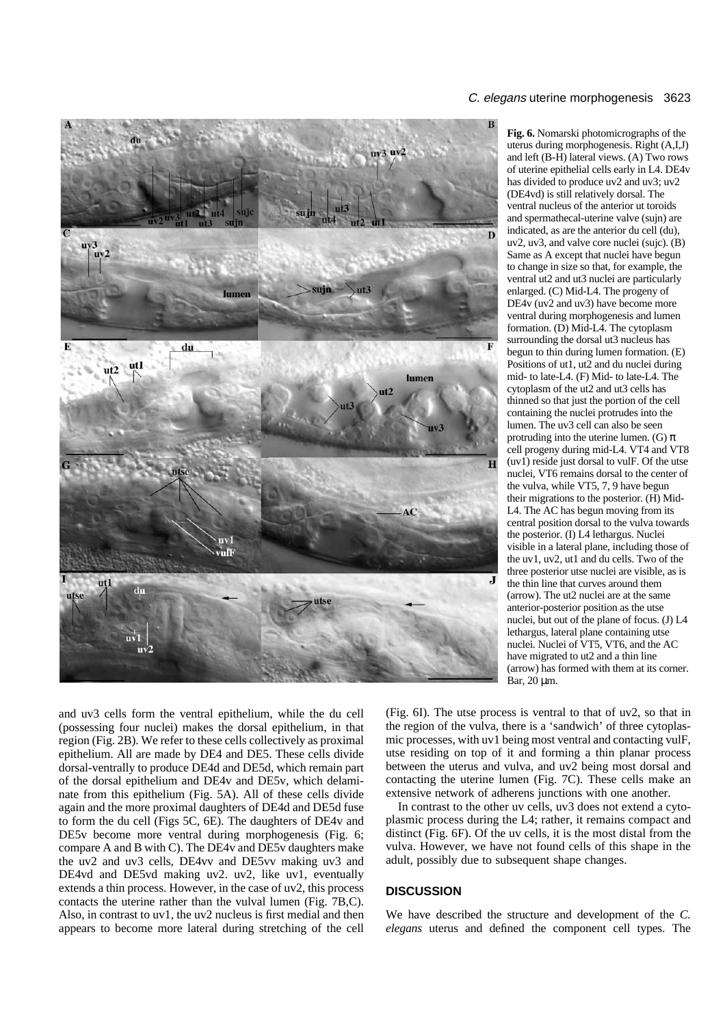

**Fig. 6.** Nomarski photomicrographs of the uterus during morphogenesis. Right (A,I,J) and left (B-H) lateral views. (A) Two rows of uterine epithelial cells early in L4. DE4v has divided to produce uv2 and uv3; uv2 (DE4vd) is still relatively dorsal. The ventral nucleus of the anterior ut toroids and spermathecal-uterine valve (sujn) are indicated, as are the anterior du cell (du), uv2, uv3, and valve core nuclei (sujc). (B) Same as A except that nuclei have begun to change in size so that, for example, the ventral ut2 and ut3 nuclei are particularly enlarged. (C) Mid-L4. The progeny of DE4v (uv2 and uv3) have become more ventral during morphogenesis and lumen formation. (D) Mid-L4. The cytoplasm surrounding the dorsal ut3 nucleus has begun to thin during lumen formation. (E) Positions of ut1, ut2 and du nuclei during mid- to late-L4. (F) Mid- to late-L4. The cytoplasm of the ut2 and ut3 cells has thinned so that just the portion of the cell containing the nuclei protrudes into the lumen. The uv3 cell can also be seen protruding into the uterine lumen. (G)  $\pi$ cell progeny during mid-L4. VT4 and VT8  $(uv1)$  reside just dorsal to vulF. Of the utse nuclei, VT6 remains dorsal to the center of the vulva, while VT5, 7, 9 have begun their migrations to the posterior. (H) Mid-L4. The AC has begun moving from its central position dorsal to the vulva towards the posterior. (I) L4 lethargus. Nuclei visible in a lateral plane, including those of the uv1, uv2, ut1 and du cells. Two of the three posterior utse nuclei are visible, as is the thin line that curves around them (arrow). The ut2 nuclei are at the same anterior-posterior position as the utse nuclei, but out of the plane of focus. (J) L4 lethargus, lateral plane containing utse nuclei. Nuclei of VT5, VT6, and the AC have migrated to ut2 and a thin line (arrow) has formed with them at its corner. Bar, 20 µm.

and uv3 cells form the ventral epithelium, while the du cell (possessing four nuclei) makes the dorsal epithelium, in that region (Fig. 2B). We refer to these cells collectively as proximal epithelium. All are made by DE4 and DE5. These cells divide dorsal-ventrally to produce DE4d and DE5d, which remain part of the dorsal epithelium and DE4v and DE5v, which delaminate from this epithelium (Fig. 5A). All of these cells divide again and the more proximal daughters of DE4d and DE5d fuse to form the du cell (Figs 5C, 6E). The daughters of DE4v and DE5v become more ventral during morphogenesis (Fig. 6; compare A and B with C). The DE4v and DE5v daughters make the uv2 and uv3 cells, DE4vv and DE5vv making uv3 and DE4vd and DE5vd making uv2. uv2, like uv1, eventually extends a thin process. However, in the case of uv2, this process contacts the uterine rather than the vulval lumen (Fig. 7B,C). Also, in contrast to uv1, the uv2 nucleus is first medial and then appears to become more lateral during stretching of the cell

(Fig. 6I). The utse process is ventral to that of uv2, so that in the region of the vulva, there is a 'sandwich' of three cytoplasmic processes, with uv1 being most ventral and contacting vulF, utse residing on top of it and forming a thin planar process between the uterus and vulva, and uv2 being most dorsal and contacting the uterine lumen (Fig. 7C). These cells make an extensive network of adherens junctions with one another.

In contrast to the other uv cells, uv3 does not extend a cytoplasmic process during the L4; rather, it remains compact and distinct (Fig. 6F). Of the uv cells, it is the most distal from the vulva. However, we have not found cells of this shape in the adult, possibly due to subsequent shape changes.

# **DISCUSSION**

We have described the structure and development of the *C. elegans* uterus and defined the component cell types. The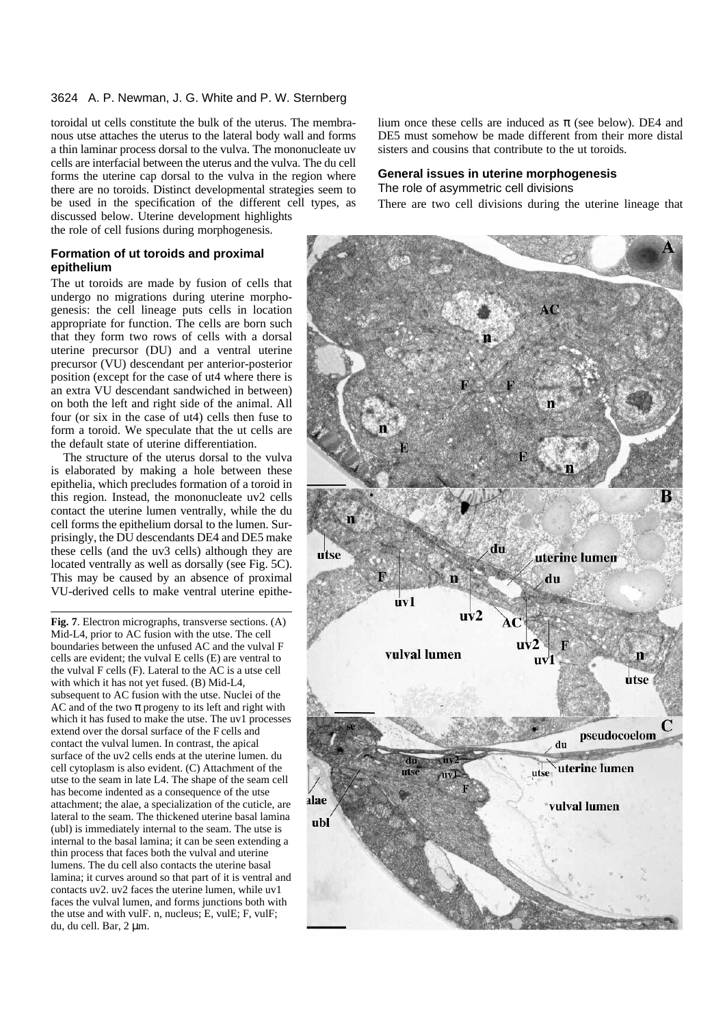toroidal ut cells constitute the bulk of the uterus. The membranous utse attaches the uterus to the lateral body wall and forms a thin laminar process dorsal to the vulva. The mononucleate uv cells are interfacial between the uterus and the vulva. The du cell forms the uterine cap dorsal to the vulva in the region where there are no toroids. Distinct developmental strategies seem to be used in the specification of the different cell types, as discussed below. Uterine development highlights

the role of cell fusions during morphogenesis.

# **Formation of ut toroids and proximal epithelium**

The ut toroids are made by fusion of cells that undergo no migrations during uterine morphogenesis: the cell lineage puts cells in location appropriate for function. The cells are born such that they form two rows of cells with a dorsal uterine precursor (DU) and a ventral uterine precursor (VU) descendant per anterior-posterior position (except for the case of ut4 where there is an extra VU descendant sandwiched in between) on both the left and right side of the animal. All four (or six in the case of ut4) cells then fuse to form a toroid. We speculate that the ut cells are the default state of uterine differentiation.

The structure of the uterus dorsal to the vulva is elaborated by making a hole between these epithelia, which precludes formation of a toroid in this region. Instead, the mononucleate uv2 cells contact the uterine lumen ventrally, while the du cell forms the epithelium dorsal to the lumen. Surprisingly, the DU descendants DE4 and DE5 make these cells (and the uv3 cells) although they are located ventrally as well as dorsally (see Fig. 5C). This may be caused by an absence of proximal VU-derived cells to make ventral uterine epithe-

**Fig. 7**. Electron micrographs, transverse sections. (A) Mid-L4, prior to AC fusion with the utse. The cell boundaries between the unfused AC and the vulval F cells are evident; the vulval E cells (E) are ventral to the vulval F cells (F). Lateral to the AC is a utse cell with which it has not yet fused. (B) Mid-L4, subsequent to AC fusion with the utse. Nuclei of the AC and of the two  $\pi$  progeny to its left and right with which it has fused to make the utse. The uv1 processes extend over the dorsal surface of the F cells and contact the vulval lumen. In contrast, the apical surface of the uv2 cells ends at the uterine lumen. du cell cytoplasm is also evident. (C) Attachment of the utse to the seam in late L4. The shape of the seam cell has become indented as a consequence of the utse attachment; the alae, a specialization of the cuticle, are lateral to the seam. The thickened uterine basal lamina (ubl) is immediately internal to the seam. The utse is internal to the basal lamina; it can be seen extending a thin process that faces both the vulval and uterine lumens. The du cell also contacts the uterine basal lamina; it curves around so that part of it is ventral and contacts uv2. uv2 faces the uterine lumen, while uv1 faces the vulval lumen, and forms junctions both with the utse and with vulF. n, nucleus; E, vulE; F, vulF; du, du cell. Bar, 2 µm.

lium once these cells are induced as  $\pi$  (see below). DE4 and DE5 must somehow be made different from their more distal sisters and cousins that contribute to the ut toroids.

### **General issues in uterine morphogenesis**

The role of asymmetric cell divisions

There are two cell divisions during the uterine lineage that

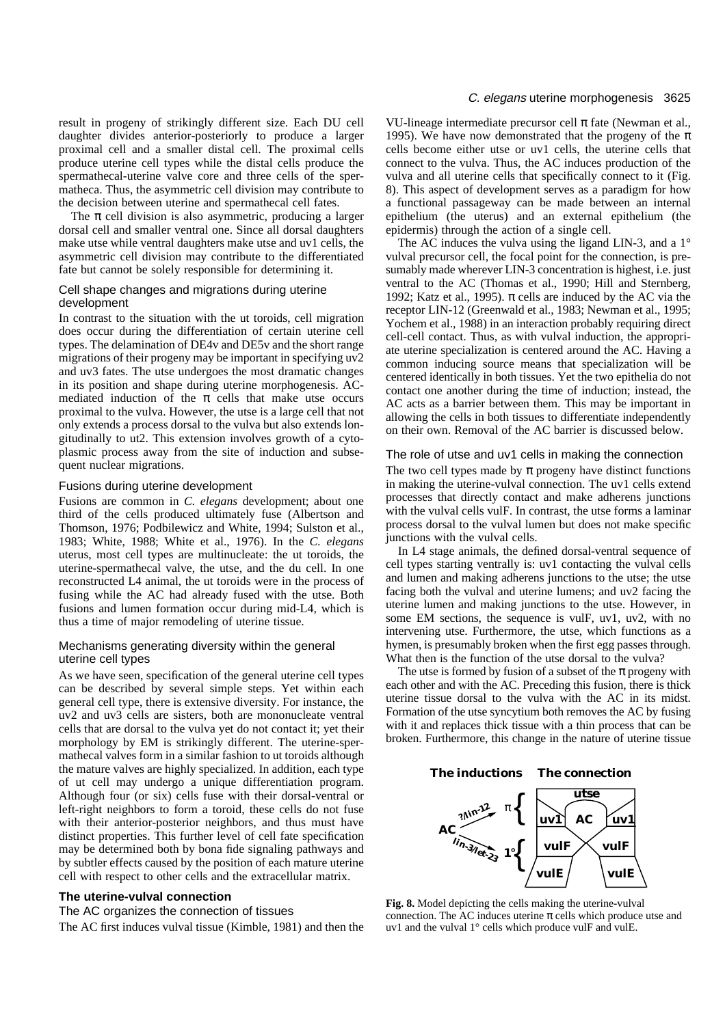result in progeny of strikingly different size. Each DU cell daughter divides anterior-posteriorly to produce a larger proximal cell and a smaller distal cell. The proximal cells produce uterine cell types while the distal cells produce the spermathecal-uterine valve core and three cells of the spermatheca. Thus, the asymmetric cell division may contribute to the decision between uterine and spermathecal cell fates.

The  $\pi$  cell division is also asymmetric, producing a larger dorsal cell and smaller ventral one. Since all dorsal daughters make utse while ventral daughters make utse and uv1 cells, the asymmetric cell division may contribute to the differentiated fate but cannot be solely responsible for determining it.

# Cell shape changes and migrations during uterine development

In contrast to the situation with the ut toroids, cell migration does occur during the differentiation of certain uterine cell types. The delamination of DE4v and DE5v and the short range migrations of their progeny may be important in specifying uv2 and uv3 fates. The utse undergoes the most dramatic changes in its position and shape during uterine morphogenesis. ACmediated induction of the  $\pi$  cells that make utse occurs proximal to the vulva. However, the utse is a large cell that not only extends a process dorsal to the vulva but also extends longitudinally to ut2. This extension involves growth of a cytoplasmic process away from the site of induction and subsequent nuclear migrations.

# Fusions during uterine development

Fusions are common in *C. elegans* development; about one third of the cells produced ultimately fuse (Albertson and Thomson, 1976; Podbilewicz and White, 1994; Sulston et al., 1983; White, 1988; White et al., 1976). In the *C. elegans* uterus, most cell types are multinucleate: the ut toroids, the uterine-spermathecal valve, the utse, and the du cell. In one reconstructed L4 animal, the ut toroids were in the process of fusing while the AC had already fused with the utse. Both fusions and lumen formation occur during mid-L4, which is thus a time of major remodeling of uterine tissue.

# Mechanisms generating diversity within the general uterine cell types

As we have seen, specification of the general uterine cell types can be described by several simple steps. Yet within each general cell type, there is extensive diversity. For instance, the uv2 and uv3 cells are sisters, both are mononucleate ventral cells that are dorsal to the vulva yet do not contact it; yet their morphology by EM is strikingly different. The uterine-spermathecal valves form in a similar fashion to ut toroids although the mature valves are highly specialized. In addition, each type of ut cell may undergo a unique differentiation program. Although four (or six) cells fuse with their dorsal-ventral or left-right neighbors to form a toroid, these cells do not fuse with their anterior-posterior neighbors, and thus must have distinct properties. This further level of cell fate specification may be determined both by bona fide signaling pathways and by subtler effects caused by the position of each mature uterine cell with respect to other cells and the extracellular matrix.

# **The uterine-vulval connection**

# The AC organizes the connection of tissues

The AC first induces vulval tissue (Kimble, 1981) and then the

# C. elegans uterine morphogenesis 3625

VU-lineage intermediate precursor cell  $\pi$  fate (Newman et al., 1995). We have now demonstrated that the progeny of the  $\pi$ cells become either utse or uv1 cells, the uterine cells that connect to the vulva. Thus, the AC induces production of the vulva and all uterine cells that specifically connect to it (Fig. 8). This aspect of development serves as a paradigm for how a functional passageway can be made between an internal epithelium (the uterus) and an external epithelium (the epidermis) through the action of a single cell.

The AC induces the vulva using the ligand LIN-3, and a 1<sup>°</sup> vulval precursor cell, the focal point for the connection, is presumably made wherever LIN-3 concentration is highest, i.e. just ventral to the AC (Thomas et al., 1990; Hill and Sternberg, 1992; Katz et al., 1995).  $\pi$  cells are induced by the AC via the receptor LIN-12 (Greenwald et al., 1983; Newman et al., 1995; Yochem et al., 1988) in an interaction probably requiring direct cell-cell contact. Thus, as with vulval induction, the appropriate uterine specialization is centered around the AC. Having a common inducing source means that specialization will be centered identically in both tissues. Yet the two epithelia do not contact one another during the time of induction; instead, the AC acts as a barrier between them. This may be important in allowing the cells in both tissues to differentiate independently on their own. Removal of the AC barrier is discussed below.

# The role of utse and uv1 cells in making the connection

The two cell types made by  $\pi$  progeny have distinct functions in making the uterine-vulval connection. The uv1 cells extend processes that directly contact and make adherens junctions with the vulval cells vulF. In contrast, the utse forms a laminar process dorsal to the vulval lumen but does not make specific junctions with the vulval cells.

In L4 stage animals, the defined dorsal-ventral sequence of cell types starting ventrally is: uv1 contacting the vulval cells and lumen and making adherens junctions to the utse; the utse facing both the vulval and uterine lumens; and uv2 facing the uterine lumen and making junctions to the utse. However, in some EM sections, the sequence is vulF, uv1, uv2, with no intervening utse. Furthermore, the utse, which functions as a hymen, is presumably broken when the first egg passes through. What then is the function of the utse dorsal to the vulva?

The utse is formed by fusion of a subset of the  $\pi$  progeny with each other and with the AC. Preceding this fusion, there is thick uterine tissue dorsal to the vulva with the AC in its midst. Formation of the utse syncytium both removes the AC by fusing with it and replaces thick tissue with a thin process that can be broken. Furthermore, this change in the nature of uterine tissue

# **The inductions The connection**



**Fig. 8.** Model depicting the cells making the uterine-vulval connection. The AC induces uterine  $\pi$  cells which produce utse and uv1 and the vulval 1° cells which produce vulF and vulE.